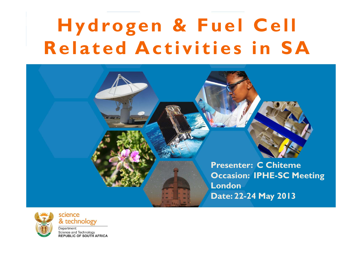### **Hydrogen & Fuel Cell Related Activities in SA**





science & technology

Department: Science and Technology **REPUBLIC OF SOUTH AFRICA**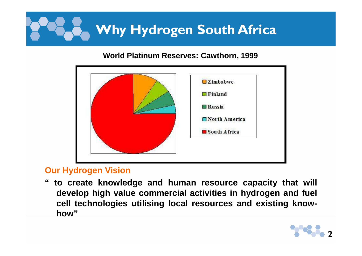# **Why Hydrogen South Africa**

#### **World Platinum Reserves: Cawthorn, 1999**



#### **Our Hydrogen Vision**

 **" to create knowledge and human resource capacity that will develop high value commercial activities in hydrogen and fuel cell technologies utilising local resources and existing knowhow"**

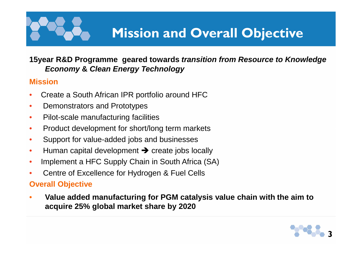# **Mission and Overall Objective**

#### **15year R&D Programme geared towards transition from Resource to Knowledge Economy & Clean Energy Technology**

#### **Mission**

- •Create a South African IPR portfolio around HFC
- •Demonstrators and Prototypes
- •Pilot-scale manufacturing facilities
- •Product development for short/long term markets
- •Support for value-added jobs and businesses
- •● Human capital development → create jobs locally<br>● Hanlement e HEC Supply Choin in South Africa (S
- $\bullet$ Implement a HFC Supply Chain in South Africa (SA)
- •Centre of Excellence for Hydrogen & Fuel Cells

#### **Overall Objective**

 $\bullet$  **Value added manufacturing for PGM catalysis value chain with the aim to acquire 25% global market share by 2020**

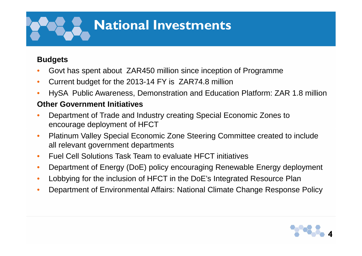# **National Investments**

#### **Budgets**

- •Govt has spent about ZAR450 million since inception of Programme
- •Current budget for the 2013-14 FY is ZAR74.8 million
- •HySA Public Awareness, Demonstration and Education Platform: ZAR 1.8 million

#### **Other Government Initiatives**

- • Department of Trade and Industry creating Special Economic Zones to encourage deployment of HFCT
- • Platinum Valley Special Economic Zone Steering Committee created to include all relevant government departments
- •Fuel Cell Solutions Task Team to evaluate HFCT initiatives
- •Department of Energy (DoE) policy encouraging Renewable Energy deployment
- •Lobbying for the inclusion of HFCT in the DoE's Integrated Resource Plan
- •Department of Environmental Affairs: National Climate Change Response Policy

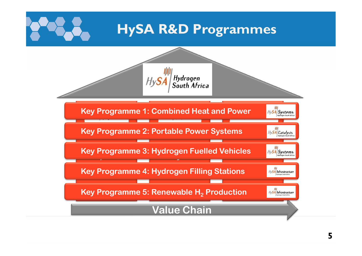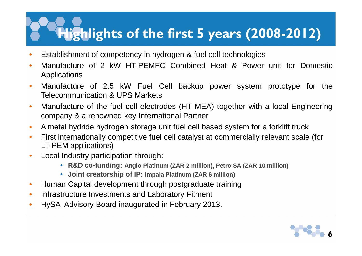## **Highlights of the first 5 years (2008-2012)**

- •Establishment of competency in hydrogen & fuel cell technologies
- •• Manufacture of 2 kW HT-PEMFC Combined Heat & Power unit for Domestic<br>Applications Applications
- •• Manufacture of 2.5 kW Fuel Cell backup power system prototype for the<br>Telecommunication & UPS Markets Telecommunication & UPS Markets
- • Manufacture of the fuel cell electrodes (HT MEA) together with <sup>a</sup> local Engineering company & <sup>a</sup> renowned key International Partner
- $\bullet$ A metal hydride hydrogen storage unit fuel cell based system for a forklift truck
- $\bullet$  First internationally competitive fuel cell catalyst at commercially relevant scale (for LT-PEM applications)
- $\bullet$  Local Industry participation through:
	- **R&D co-funding: Anglo Platinum (ZAR 2 million), Petro SA (ZAR 10 million)**
	- **Joint creatorship of IP: Impala Platinum (ZAR 6 million)**
- $\bullet$ Human Capital development through postgraduate training
- $\bullet$ Infrastructure Investments and Laboratory Fitment
- $\bullet$ HySA Advisory Board inaugurated in February 2013.